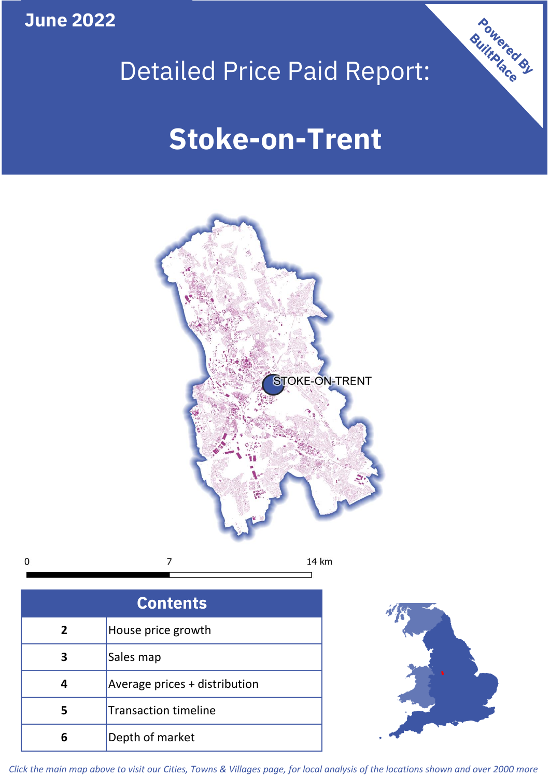**June 2022**

 $\mathbf 0$ 





| <b>Contents</b> |                               |  |  |
|-----------------|-------------------------------|--|--|
| $\overline{2}$  | House price growth            |  |  |
|                 | Sales map                     |  |  |
|                 | Average prices + distribution |  |  |
| 5               | <b>Transaction timeline</b>   |  |  |
|                 | Depth of market               |  |  |



*Click the main map above to visit our Cities, Towns & Villages page, for local analysis of the locations shown and over 2000 more*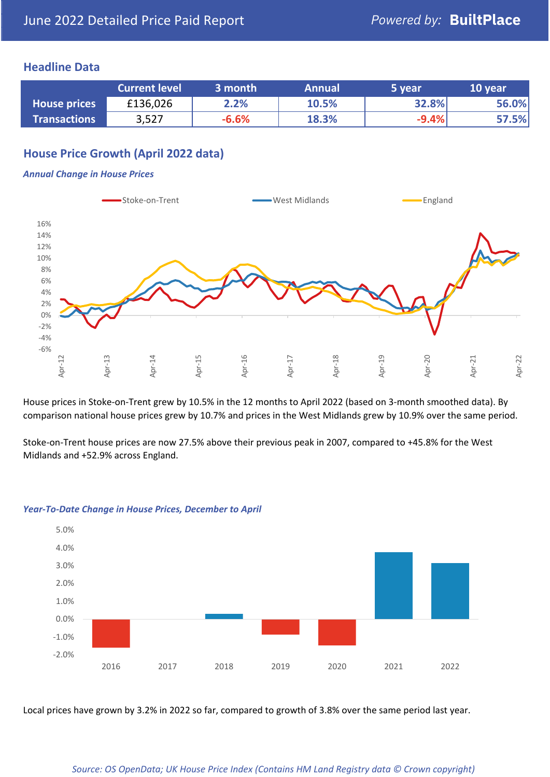### **Headline Data**

|                     | <b>Current level</b> | 3 month | <b>Annual</b> | 5 year  | 10 year |
|---------------------|----------------------|---------|---------------|---------|---------|
| <b>House prices</b> | £136,026             | 2.2%    | 10.5%         | 32.8%   | 56.0%   |
| <b>Transactions</b> | 3,527                | $-6.6%$ | 18.3%         | $-9.4%$ | 57.5%   |

# **House Price Growth (April 2022 data)**

#### *Annual Change in House Prices*



House prices in Stoke-on-Trent grew by 10.5% in the 12 months to April 2022 (based on 3-month smoothed data). By comparison national house prices grew by 10.7% and prices in the West Midlands grew by 10.9% over the same period.

Stoke-on-Trent house prices are now 27.5% above their previous peak in 2007, compared to +45.8% for the West Midlands and +52.9% across England.



#### *Year-To-Date Change in House Prices, December to April*

Local prices have grown by 3.2% in 2022 so far, compared to growth of 3.8% over the same period last year.

#### *Source: OS OpenData; UK House Price Index (Contains HM Land Registry data © Crown copyright)*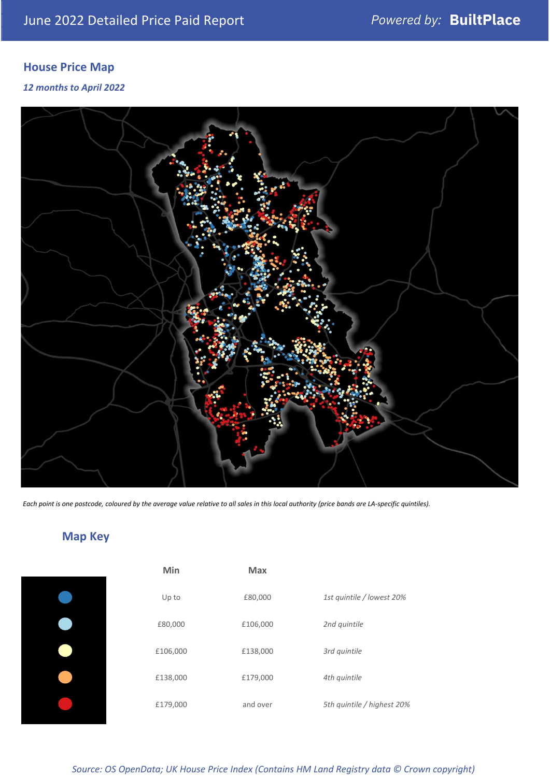# **House Price Map**

#### *12 months to April 2022*



*Each point is one postcode, coloured by the average value relative to all sales in this local authority (price bands are LA-specific quintiles).*

# **Map Key**

| Min      | Max      |                            |
|----------|----------|----------------------------|
| Up to    | £80,000  | 1st quintile / lowest 20%  |
| £80,000  | £106,000 | 2nd quintile               |
| £106,000 | £138,000 | 3rd quintile               |
| £138,000 | £179,000 | 4th quintile               |
| £179,000 | and over | 5th quintile / highest 20% |

*Source: OS OpenData; UK House Price Index (Contains HM Land Registry data © Crown copyright)*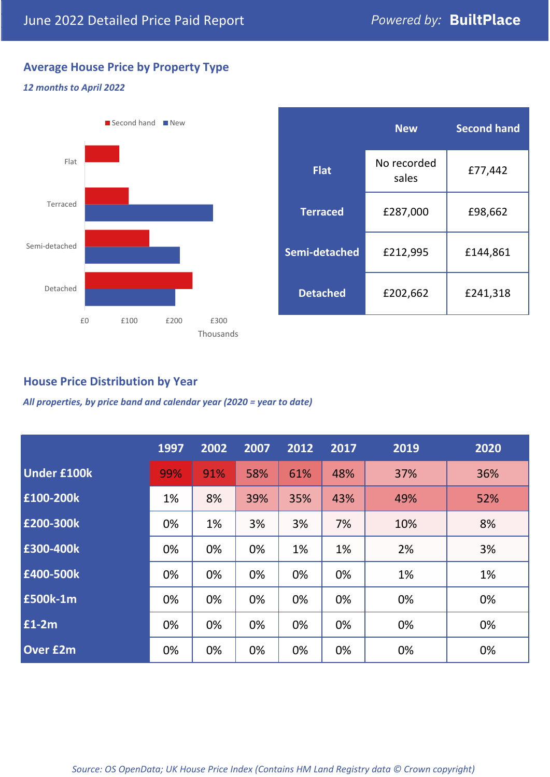# **Average House Price by Property Type**

## *12 months to April 2022*



|                 | <b>New</b>           | <b>Second hand</b> |  |  |
|-----------------|----------------------|--------------------|--|--|
| <b>Flat</b>     | No recorded<br>sales | £77,442            |  |  |
| <b>Terraced</b> | £287,000             | £98,662            |  |  |
| Semi-detached   | £212,995             | £144,861           |  |  |
| <b>Detached</b> | £202,662             | £241,318           |  |  |

## **House Price Distribution by Year**

*All properties, by price band and calendar year (2020 = year to date)*

|                    | 1997 | 2002 | 2007 | 2012 | 2017 | 2019 | 2020 |
|--------------------|------|------|------|------|------|------|------|
| <b>Under £100k</b> | 99%  | 91%  | 58%  | 61%  | 48%  | 37%  | 36%  |
| £100-200k          | 1%   | 8%   | 39%  | 35%  | 43%  | 49%  | 52%  |
| £200-300k          | 0%   | 1%   | 3%   | 3%   | 7%   | 10%  | 8%   |
| E300-400k          | 0%   | 0%   | 0%   | 1%   | 1%   | 2%   | 3%   |
| £400-500k          | 0%   | 0%   | 0%   | 0%   | 0%   | 1%   | 1%   |
| £500k-1m           | 0%   | 0%   | 0%   | 0%   | 0%   | 0%   | 0%   |
| $f1-2m$            | 0%   | 0%   | 0%   | 0%   | 0%   | 0%   | 0%   |
| <b>Over £2m</b>    | 0%   | 0%   | 0%   | 0%   | 0%   | 0%   | 0%   |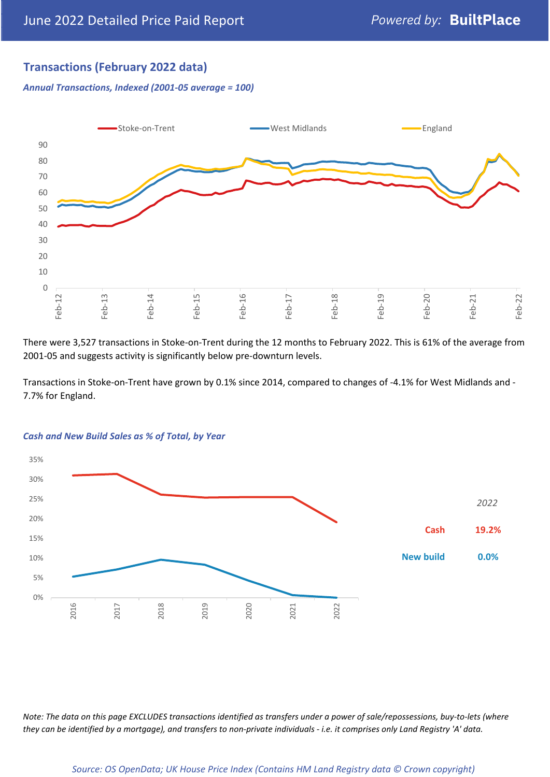# **Transactions (February 2022 data)**

*Annual Transactions, Indexed (2001-05 average = 100)*



There were 3,527 transactions in Stoke-on-Trent during the 12 months to February 2022. This is 61% of the average from 2001-05 and suggests activity is significantly below pre-downturn levels.

Transactions in Stoke-on-Trent have grown by 0.1% since 2014, compared to changes of -4.1% for West Midlands and - 7.7% for England.



#### *Cash and New Build Sales as % of Total, by Year*

*Note: The data on this page EXCLUDES transactions identified as transfers under a power of sale/repossessions, buy-to-lets (where they can be identified by a mortgage), and transfers to non-private individuals - i.e. it comprises only Land Registry 'A' data.*